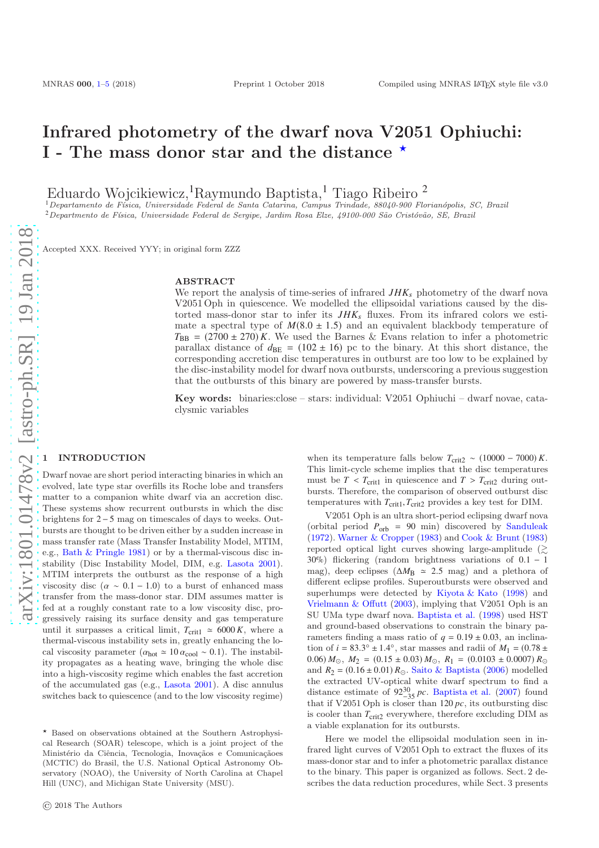# Infrared photometry of the dwarf nova V2051 Ophiuchi: I - The mass donor star and the distance  $\star$

Eduardo Wojcikiewicz,<sup>1</sup>Raymundo Baptista,<sup>1</sup> Tiago Ribeiro <sup>2</sup>

 $1$ Departamento de Física, Universidade Federal de Santa Catarina, Campus Trindade, 88040-900 Florianópolis, SC, Brazil  $2$ Departmento de Física, Universidade Federal de Sergipe, Jardim Rosa Elze, 49100-000 São Cristóvão, SE, Brazil

Accepted XXX. Received YYY; in original form ZZZ

### ABSTRACT

We report the analysis of time-series of infrared  $JHK<sub>s</sub>$  photometry of the dwarf nova V2051 Oph in quiescence. We modelled the ellipsoidal variations caused by the distorted mass-donor star to infer its  $JHK_s$  fluxes. From its infrared colors we estimate a spectral type of  $M(8.0 \pm 1.5)$  and an equivalent blackbody temperature of  $T_{\text{BB}}$  = (2700 ± 270) *K*. We used the Barnes & Evans relation to infer a photometric parallax distance of  $d_{BE} = (102 \pm 16)$  pc to the binary. At this short distance, the corresponding accretion disc temperatures in outburst are too low to be explained by the disc-instability model for dwarf nova outbursts, underscoring a previous suggestion that the outbursts of this binary are powered by mass-transfer bursts.

Key words: binaries:close – stars: individual: V2051 Ophiuchi – dwarf novae, cataclysmic variables

#### <span id="page-0-0"></span>**INTRODUCTION**

Dwarf novae are short period interacting binaries in which an evolved, late type star overfills its Roche lobe and transfers matter to a companion white dwarf via an accretion disc. These systems show recurrent outbursts in which the disc brightens for 2− 5 mag on timescales of days to weeks. Outbursts are thought to be driven either by a sudden increase in mass transfer rate (Mass Transfer Instability Model, MTIM, e.g., [Bath & Pringle 1981](#page-3-1)) or by a thermal-viscous disc instability (Disc Instability Model, DIM, e.g. [Lasota 2001](#page-3-2)). MTIM interprets the outburst as the response of a high viscosity disc ( $\alpha \sim 0.1 - 1.0$ ) to a burst of enhanced mass transfer from the mass-donor star. DIM assumes matter is fed at a roughly constant rate to a low viscosity disc, progressively raising its surface density and gas temperature until it surpasses a critical limit,  $T_{\text{crit1}} \approx 6000 K$ , where a thermal-viscous instability sets in, greatly enhancing the local viscosity parameter ( $\alpha_{\text{hot}} \approx 10 \alpha_{\text{cool}} \sim 0.1$ ). The instability propagates as a heating wave, bringing the whole disc into a high-viscosity regime which enables the fast accretion of the accumulated gas (e.g., [Lasota 2001](#page-3-2)). A disc annulus switches back to quiescence (and to the low viscosity regime) when its temperature falls below  $T_{\text{crit2}} \sim (10000 - 7000) K$ . This limit-cycle scheme implies that the disc temperatures must be  $T < T_{\text{crit1}}$  in quiescence and  $T > T_{\text{crit2}}$  during outbursts. Therefore, the comparison of observed outburst disc temperatures with  $T_{\text{crit1}}$ ,  $T_{\text{crit2}}$  provides a key test for DIM.

V2051 Oph is an ultra short-period eclipsing dwarf nova (orbital period  $P_{\text{orb}} = 90$  min) discovered by [Sanduleak](#page-3-3) [\(1972](#page-3-3)). [Warner & Cropper](#page-4-0) [\(1983\)](#page-4-0) and [Cook & Brunt](#page-3-4) [\(1983](#page-3-4)) reported optical light curves showing large-amplitude  $(\gtrsim$ 30%) flickering (random brightness variations of 0.1 − 1 mag), deep eclipses ( $\Delta M_B \approx 2.5$  mag) and a plethora of different eclipse profiles. Superoutbursts were observed and superhumps were detected by [Kiyota & Kato](#page-3-5) [\(1998](#page-3-5)) and [Vrielmann & Offutt](#page-4-1) [\(2003\)](#page-4-1), implying that V2051 Oph is an SU UMa type dwarf nova. [Baptista et al.](#page-3-6) [\(1998](#page-3-6)) used HST and ground-based observations to constrain the binary parameters finding a mass ratio of  $q = 0.19 \pm 0.03$ , an inclination of  $i = 83.3^{\circ} \pm 1.4^{\circ}$ , star masses and radii of  $M_1 = (0.78 \pm 1.4^{\circ})$ 0.06)  $M_{\odot}$ ,  $M_{2} = (0.15 \pm 0.03) M_{\odot}$ ,  $R_{1} = (0.0103 \pm 0.0007) R_{\odot}$ and  $R_2 = (0.16 \pm 0.01) R_{\odot}$ . [Saito & Baptista](#page-3-7) [\(2006\)](#page-3-7) modelled the extracted UV-optical white dwarf spectrum to find a distance estimate of  $92^{30}_{-35}$  *pc*. [Baptista et al.](#page-3-8) [\(2007\)](#page-3-8) found that if V2051 Oph is closer than 120 *pc*, its outbursting disc is cooler than  $T_{\text{crit2}}$  everywhere, therefore excluding DIM as a viable explanation for its outbursts.

Here we model the ellipsoidal modulation seen in infrared light curves of V2051 Oph to extract the fluxes of its mass-donor star and to infer a photometric parallax distance to the binary. This paper is organized as follows. Sect. 2 describes the data reduction procedures, while Sect. 3 presents

 $\star$  Based on observations obtained at the Southern Astrophysical Research (SOAR) telescope, which is a joint project of the Ministério da Ciência, Tecnologia, Inovaçãos e Comunicaçãoes (MCTIC) do Brasil, the U.S. National Optical Astronomy Observatory (NOAO), the University of North Carolina at Chapel Hill (UNC), and Michigan State University (MSU).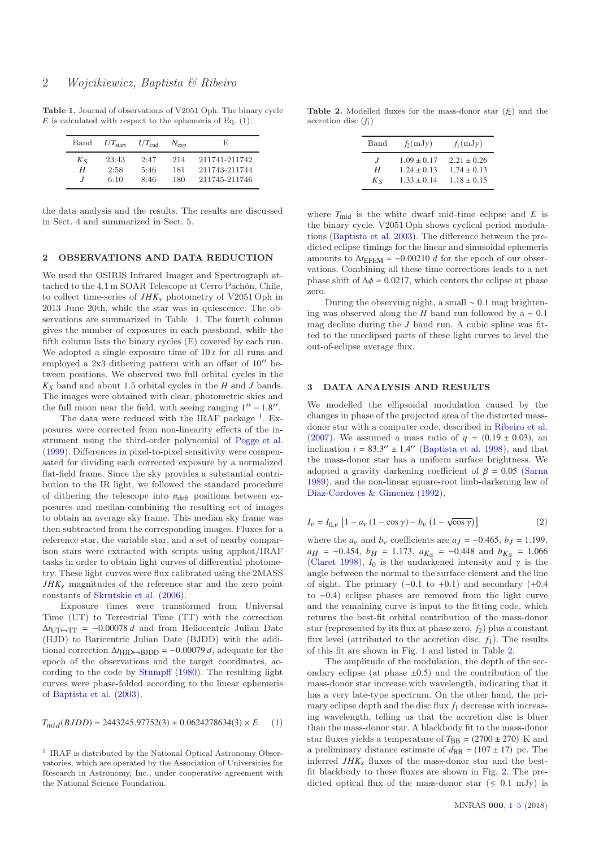Table 1. Journal of observations of V2051 Oph. The binary cycle  $E$  is calculated with respect to the ephemeris of Eq.  $(1)$ .

<span id="page-1-1"></span>

| Band         | $UT_{\rm start}$ | $UT_{end}$   | $N_{\rm exp}$ | E.                             |
|--------------|------------------|--------------|---------------|--------------------------------|
| $K_{S}$<br>Н | 23:43<br>2:58    | 2:47<br>5:46 | 214<br>181    | 211741-211742<br>211743-211744 |
| $\cdot$      | 6:10             | 8:46         | 180           | 211745-211746                  |

the data analysis and the results. The results are discussed in Sect. 4 and summarized in Sect. 5.

## 2 OBSERVATIONS AND DATA REDUCTION

We used the OSIRIS Infrared Imager and Spectrograph attached to the 4.1 m SOAR Telescope at Cerro Pachón, Chile, to collect time-series of  $JHK<sub>s</sub>$  photometry of V2051 Oph in 2013 June 20th, while the star was in quiescence. The observations are summarized in Table [1.](#page-1-1) The fourth column gives the number of exposures in each passband, while the fifth column lists the binary cycles (E) covered by each run. We adopted a single exposure time of 10 *s* for all runs and employed a 2x3 dithering pattern with an offset of  $10''$  between positions. We observed two full orbital cycles in the  $K<sub>S</sub>$  band and about 1.5 orbital cycles in the *H* and *J* bands. The images were obtained with clear, photometric skies and the full moon near the field, with seeing ranging  $1'' - 1.8''$ .

The data were reduced with the IRAF package  $<sup>1</sup>$  $<sup>1</sup>$  $<sup>1</sup>$ . Ex-</sup> posures were corrected from non-linearity effects of the instrument using the third-order polynomial of [Pogge et al.](#page-3-9) [\(1999](#page-3-9)). Differences in pixel-to-pixel sensitivity were compensated for dividing each corrected exposure by a normalized flat-field frame. Since the sky provides a substantial contribution to the IR light, we followed the standard procedure of dithering the telescope into  $n_{\text{dith}}$  positions between exposures and median-combining the resulting set of images to obtain an average sky frame. This median sky frame was then subtracted from the corresponding images. Fluxes for a reference star, the variable star, and a set of nearby comparison stars were extracted with scripts using apphot/IRAF tasks in order to obtain light curves of differential photometry. These light curves were flux calibrated using the 2MASS *JHK*s magnitudes of the reference star and the zero point constants of [Skrutskie et al.](#page-4-2) [\(2006](#page-4-2)).

Exposure times were transformed from Universal Time (UT) to Terrestrial Time (TT) with the correction  $\Delta t_{\text{UT} \rightarrow \text{TT}}$  = -0.00078 *d* and from Heliocentric Julian Date (HJD) to Baricentric Julian Date (BJDD) with the additional correction  $\Delta t_{\text{HJD}\rightarrow\text{BJDD}} = -0.00079 d$ , adequate for the epoch of the observations and the target coordinates, according to the code by [Stumpff](#page-4-3) [\(1980](#page-4-3)). The resulting light curves were phase-folded according to the linear ephemeris of [Baptista et al.](#page-3-10) [\(2003](#page-3-10)),

<span id="page-1-0"></span>
$$
T_{mid}(BJDD) = 2443245.97752(3) + 0.0624278634(3) \times E \qquad (1)
$$

<span id="page-1-2"></span><sup>1</sup> IRAF is distributed by the National Optical Astronomy Observatories, which are operated by the Association of Universities for Research in Astronomy, Inc., under cooperative agreement with the National Science Foundation.

Table 2. Modelled fluxes for the mass-donor star  $(f_2)$  and the accretion disc  $(f_1)$ 

<span id="page-1-3"></span>

| Band           | $f_2(mJy)$      | $f_1(mJy)$      |
|----------------|-----------------|-----------------|
| $\overline{J}$ | $1.09 \pm 0.17$ | $2.21 \pm 0.26$ |
| Н              | $1.24 \pm 0.13$ | $1.74 \pm 0.13$ |
| $K_{S}$        | $1.33 \pm 0.14$ | $1.18 \pm 0.15$ |

where  $T_{\text{mid}}$  is the white dwarf mid-time eclipse and  $E$  is the binary cycle. V2051 Oph shows cyclical period modulations [\(Baptista et al. 2003](#page-3-10)). The difference between the predicted eclipse timings for the linear and sinusoidal ephemeris amounts to  $\Delta t$ <sub>EFEM</sub> = -0.00210 *d* for the epoch of our observations. Combining all these time corrections leads to a net phase shift of  $\Delta \phi = 0.0217$ , which centers the eclipse at phase zero.

During the observing night, a small ∼ 0.1 mag brightening was observed along the *H* band run followed by a ∼ 0.1 mag decline during the *J* band run. A cubic spline was fitted to the uneclipsed parts of these light curves to level the out-of-eclipse average flux.

#### 3 DATA ANALYSIS AND RESULTS

We modelled the ellipsoidal modulation caused by the changes in phase of the projected area of the distorted massdonor star with a computer code, described in [Ribeiro et al.](#page-3-11) [\(2007](#page-3-11)). We assumed a mass ratio of  $q = (0.19 \pm 0.03)$ , an inclination  $i = 83.3^{\circ} \pm 1.4^{\circ}$  [\(Baptista et al. 1998](#page-3-6)), and that the mass-donor star has a uniform surface brightness. We adopted a gravity darkening coefficient of  $\beta = 0.05$  [\(Sarna](#page-4-4) [1989](#page-4-4)), and the non-linear square-root limb-darkening law of [Diaz-Cordoves & Gimenez](#page-3-12) [\(1992](#page-3-12)),

$$
I_{\nu} = I_{0,\nu} \left[ 1 - a_{\nu} \left( 1 - \cos \gamma \right) - b_{\nu} \left( 1 - \sqrt{\cos \gamma} \right) \right] \tag{2}
$$

where the  $a_v$  and  $b_v$  coefficients are  $a_J = -0.465$ ,  $b_J = 1.199$ ,  $a_H = -0.454$ ,  $b_H = 1.173$ ,  $a_{K_S} = -0.448$  and  $b_{K_S} = 1.066$ [\(Claret 1998](#page-3-13)),  $I_0$  is the undarkened intensity and  $\gamma$  is the angle between the normal to the surface element and the line of sight. The primary  $(-0.1 \text{ to } +0.1)$  and secondary  $(+0.4$ to −0.4) eclipse phases are removed from the light curve and the remaining curve is input to the fitting code, which returns the best-fit orbital contribution of the mass-donor star (represented by its flux at phase zero,  $f_2$ ) plus a constant flux level (attributed to the accretion disc,  $f_1$ ). The results of this fit are shown in Fig. [1](#page-2-0) and listed in Table [2.](#page-1-3)

The amplitude of the modulation, the depth of the secondary eclipse (at phase  $\pm 0.5$ ) and the contribution of the mass-donor star increase with wavelength, indicating that it has a very late-type spectrum. On the other hand, the primary eclipse depth and the disc flux  $f_1$  decrease with increasing wavelength, telling us that the accretion disc is bluer than the mass-donor star. A blackbody fit to the mass-donor star fluxes yields a temperature of  $T_{\text{BB}} = (2700 \pm 270)$  K and a preliminary distance estimate of  $d_{\text{BB}} = (107 \pm 17)$  pc. The inferred *JHK*s fluxes of the mass-donor star and the bestfit blackbody to these fluxes are shown in Fig. [2.](#page-2-1) The predicted optical flux of the mass-donor star  $( \leq 0.1 \text{ mJy})$  is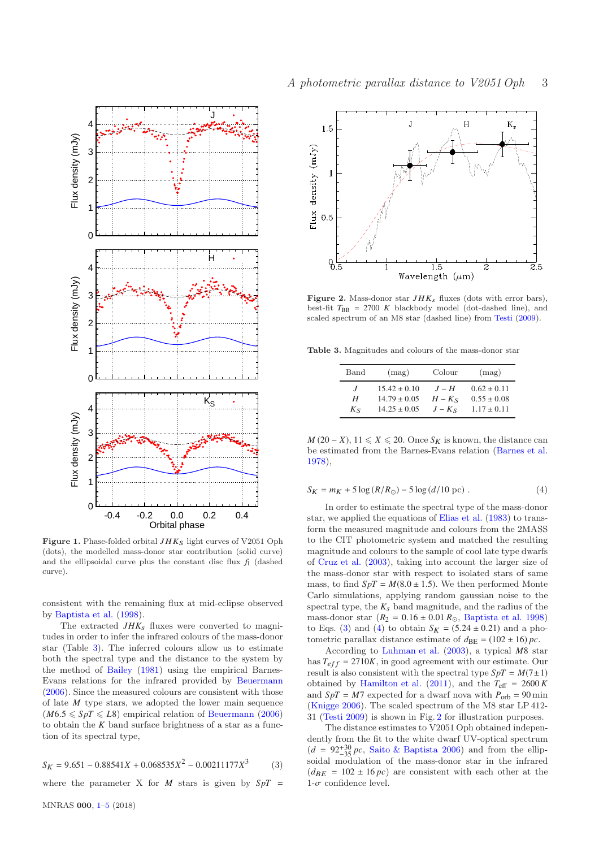

<span id="page-2-0"></span>Figure 1. Phase-folded orbital  $JHK<sub>S</sub>$  light curves of V2051 Oph (dots), the modelled mass-donor star contribution (solid curve) and the ellipsoidal curve plus the constant disc flux  $f_1$  (dashed curve).

consistent with the remaining flux at mid-eclipse observed by [Baptista et al.](#page-3-6) [\(1998\)](#page-3-6).

The extracted  $JHK_s$  fluxes were converted to magnitudes in order to infer the infrared colours of the mass-donor star (Table [3\)](#page-2-2). The inferred colours allow us to estimate both the spectral type and the distance to the system by the method of [Bailey](#page-3-14) [\(1981](#page-3-14)) using the empirical Barnes-Evans relations for the infrared provided by [Beuermann](#page-3-15) [\(2006](#page-3-15)). Since the measured colours are consistent with those of late *M* type stars, we adopted the lower main sequence  $(M6.5 \leqslant SpT \leqslant L8)$  empirical relation of [Beuermann](#page-3-15) [\(2006\)](#page-3-15) to obtain the *K* band surface brightness of a star as a function of its spectral type,

<span id="page-2-3"></span>
$$
S_K = 9.651 - 0.88541X + 0.068535X^2 - 0.00211177X^3 \tag{3}
$$

where the parameter X for  $M$  stars is given by  $SpT =$ 



<span id="page-2-1"></span>Figure 2. Mass-donor star  $JHK_s$  fluxes (dots with error bars), best-fit  $T_{\text{BB}}$  = 2700 K blackbody model (dot-dashed line), and scaled spectrum of an M8 star (dashed line) from [Testi](#page-4-5) [\(2009](#page-4-5)).

Table 3. Magnitudes and colours of the mass-donor star

<span id="page-2-2"></span>

| Band           | (mag)            | Colour   | (mag)           |
|----------------|------------------|----------|-----------------|
| $\overline{I}$ | $15.42 \pm 0.10$ | $J-H$    | $0.62 \pm 0.11$ |
| Н              | $14.79 \pm 0.05$ | $H - Ks$ | $0.55 \pm 0.08$ |
| $K_{S}$        | $14.25 \pm 0.05$ | $J-KS$   | $1.17 \pm 0.11$ |

<span id="page-2-4"></span>*M* (20 − *X*), 11  $\leq$  *X*  $\leq$  20. Once *S<sub>K</sub>* is known, the distance can be estimated from the Barnes-Evans relation [\(Barnes et al.](#page-3-16) [1978](#page-3-16)),

$$
S_K = m_K + 5\log\left(\frac{R}{R_{\odot}}\right) - 5\log\left(\frac{d}{10}\right) \text{pc} \tag{4}
$$

In order to estimate the spectral type of the mass-donor star, we applied the equations of [Elias et al.](#page-3-17) [\(1983\)](#page-3-17) to transform the measured magnitude and colours from the 2MASS to the CIT photometric system and matched the resulting magnitude and colours to the sample of cool late type dwarfs of [Cruz et al.](#page-3-18) [\(2003](#page-3-18)), taking into account the larger size of the mass-donor star with respect to isolated stars of same mass, to find  $SpT = M(8.0 \pm 1.5)$ . We then performed Monte Carlo simulations, applying random gaussian noise to the spectral type, the  $K_s$  band magnitude, and the radius of the mass-donor star  $(R_2 = 0.16 \pm 0.01 R_{\odot}$ , [Baptista et al. 1998](#page-3-6)) to Eqs. [\(3\)](#page-2-3) and [\(4\)](#page-2-4) to obtain  $S_K = (5.24 \pm 0.21)$  and a photometric parallax distance estimate of  $d_{BE} = (102 \pm 16) pc$ .

According to [Luhman et al.](#page-3-19) [\(2003](#page-3-19)), a typical *M*8 star has  $T_{eff} = 2710K$ , in good agreement with our estimate. Our result is also consistent with the spectral type  $SpT = M(7 \pm 1)$ obtained by [Hamilton et al.](#page-3-20)  $(2011)$  $(2011)$ , and the  $T_{\text{eff}} = 2600 K$ and  $SpT = M7$  expected for a dwarf nova with  $P_{\text{orb}} = 90$  min [\(Knigge 2006](#page-3-21)). The scaled spectrum of the M8 star LP 412- 31 [\(Testi 2009](#page-4-5)) is shown in Fig. [2](#page-2-1) for illustration purposes.

The distance estimates to V2051 Oph obtained independently from the fit to the white dwarf UV-optical spectrum  $(d = 92^{+30}_{-35} pc$ , [Saito & Baptista 2006](#page-3-7)) and from the ellip-<br>soidal magnifician of the mass dense star in the infrared soidal modulation of the mass-donor star in the infrared  $(d_{BE} = 102 \pm 16 pc)$  are consistent with each other at the  $1-\sigma$  confidence level.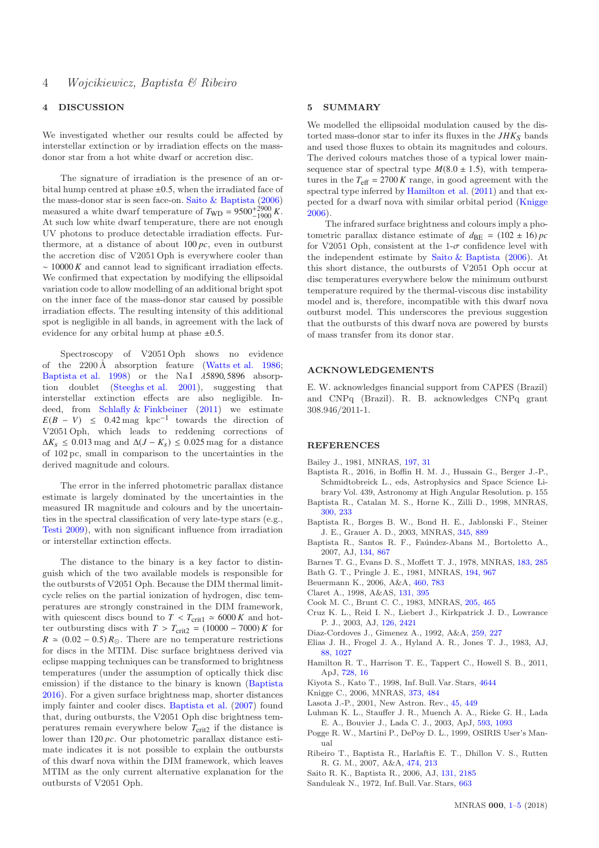### 4 DISCUSSION

We investigated whether our results could be affected by interstellar extinction or by irradiation effects on the massdonor star from a hot white dwarf or accretion disc.

The signature of irradiation is the presence of an orbital hump centred at phase  $\pm 0.5$ , when the irradiated face of the mass-donor star is seen face-on. [Saito & Baptista](#page-3-7) [\(2006\)](#page-3-7) measured a white dwarf temperature of  $T_{WD} = 9500^{+2900} K$ . At such low white dwarf temperature, there are not enough UV photons to produce detectable irradiation effects. Furthermore, at a distance of about 100 *pc*, even in outburst the accretion disc of V2051 Oph is everywhere cooler than ∼ 10000 *K* and cannot lead to significant irradiation effects. We confirmed that expectation by modifying the ellipsoidal variation code to allow modelling of an additional bright spot on the inner face of the mass-donor star caused by possible irradiation effects. The resulting intensity of this additional spot is negligible in all bands, in agreement with the lack of evidence for any orbital hump at phase  $\pm 0.5$ .

Spectroscopy of V2051 Oph shows no evidence of the  $2200 \text{\AA}$  absorption feature [\(Watts et al. 1986;](#page-4-6) [Baptista et al. 1998](#page-3-6)) or the NaI  $\lambda$ 5890, 5896 absorption doublet [\(Steeghs et al. 2001](#page-4-7)), suggesting that interstellar extinction effects are also negligible. Indeed, from Schlafly  $&$  Finkbeiner [\(2011](#page-4-8)) we estimate  $E(B - V) \leq 0.42 \text{ mag } \text{kpc}^{-1}$  towards the direction of V2051 Oph, which leads to reddening corrections of  $\Delta K_s$  ≤ 0.013 mag and  $\Delta (J - K_s)$  ≤ 0.025 mag for a distance of 102 pc, small in comparison to the uncertainties in the derived magnitude and colours.

The error in the inferred photometric parallax distance estimate is largely dominated by the uncertainties in the measured IR magnitude and colours and by the uncertainties in the spectral classification of very late-type stars (e.g., [Testi 2009\)](#page-4-5), with non significant influence from irradiation or interstellar extinction effects.

The distance to the binary is a key factor to distinguish which of the two available models is responsible for the outbursts of V2051 Oph. Because the DIM thermal limitcycle relies on the partial ionization of hydrogen, disc temperatures are strongly constrained in the DIM framework, with quiescent discs bound to  $T < T_{\text{crit1}} \approx 6000 K$  and hotter outbursting discs with  $T > T_{\text{crit2}} = (10000 - 7000) K$  for  $R \approx (0.02 - 0.5) R_{\odot}$ . There are no temperature restrictions for discs in the MTIM. Disc surface brightness derived via eclipse mapping techniques can be transformed to brightness temperatures (under the assumption of optically thick disc emission) if the distance to the binary is known [\(Baptista](#page-3-22) [2016](#page-3-22)). For a given surface brightness map, shorter distances imply fainter and cooler discs. [Baptista et al.](#page-3-8) [\(2007](#page-3-8)) found that, during outbursts, the V2051 Oph disc brightness temperatures remain everywhere below  $T_{\text{crit2}}$  if the distance is lower than 120 *pc*. Our photometric parallax distance estimate indicates it is not possible to explain the outbursts of this dwarf nova within the DIM framework, which leaves MTIM as the only current alternative explanation for the outbursts of V2051 Oph.

### <span id="page-3-0"></span>5 SUMMARY

We modelled the ellipsoidal modulation caused by the distorted mass-donor star to infer its fluxes in the  $JHK<sub>S</sub>$  bands and used those fluxes to obtain its magnitudes and colours. The derived colours matches those of a typical lower mainsequence star of spectral type  $M(8.0 \pm 1.5)$ , with temperatures in the  $T_{\text{eff}} = 2700 K$  range, in good agreement with the spectral type inferred by [Hamilton et al.](#page-3-20) [\(2011\)](#page-3-20) and that expected for a dwarf nova with similar orbital period [\(Knigge](#page-3-21) [2006](#page-3-21)).

The infrared surface brightness and colours imply a photometric parallax distance estimate of  $d_{BE} = (102 \pm 16) pc$ for V2051 Oph, consistent at the 1- $\sigma$  confidence level with the independent estimate by [Saito & Baptista](#page-3-7) [\(2006](#page-3-7)). At this short distance, the outbursts of V2051 Oph occur at disc temperatures everywhere below the minimum outburst temperature required by the thermal-viscous disc instability model and is, therefore, incompatible with this dwarf nova outburst model. This underscores the previous suggestion that the outbursts of this dwarf nova are powered by bursts of mass transfer from its donor star.

#### ACKNOWLEDGEMENTS

E. W. acknowledges financial support from CAPES (Brazil) and CNPq (Brazil). R. B. acknowledges CNPq grant 308.946/2011-1.

#### **REFERENCES**

- <span id="page-3-14"></span>Bailey J., 1981, MNRAS, [197, 31](http://adsabs.harvard.edu/abs/1981MNRAS.197...31B)
- <span id="page-3-22"></span>Baptista R., 2016, in Boffin H. M. J., Hussain G., Berger J.-P., Schmidtobreick L., eds, Astrophysics and Space Science Library Vol. 439, Astronomy at High Angular Resolution. p. 155
- <span id="page-3-6"></span>Baptista R., Catalan M. S., Horne K., Zilli D., 1998, MNRAS, [300, 233](http://adsabs.harvard.edu/abs/1998MNRAS.300..233B)
- <span id="page-3-10"></span>Baptista R., Borges B. W., Bond H. E., Jablonski F., Steiner J. E., Grauer A. D., 2003, MNRAS, [345, 889](http://adsabs.harvard.edu/abs/2003MNRAS.345..889B)
- <span id="page-3-8"></span>Baptista R., Santos R. F., Faúndez-Abans M., Bortoletto A., 2007, AJ, [134, 867](http://adsabs.harvard.edu/abs/2007AJ....134..867B)
- <span id="page-3-16"></span>Barnes T. G., Evans D. S., Moffett T. J., 1978, MNRAS, [183, 285](http://adsabs.harvard.edu/abs/1978MNRAS.183..285B)
- <span id="page-3-1"></span>Bath G. T., Pringle J. E., 1981, MNRAS, [194, 967](http://adsabs.harvard.edu/abs/1981MNRAS.194..967B)
- <span id="page-3-15"></span>Beuermann K., 2006, A&A, [460, 783](http://adsabs.harvard.edu/abs/2006A%26A...460..783B)
- <span id="page-3-13"></span>Claret A., 1998, A&AS, [131, 395](http://adsabs.harvard.edu/abs/1998A%26AS..131..395C)
- <span id="page-3-4"></span>Cook M. C., Brunt C. C., 1983, MNRAS, [205, 465](http://adsabs.harvard.edu/abs/1983MNRAS.205..465C)
- <span id="page-3-18"></span>Cruz K. L., Reid I. N., Liebert J., Kirkpatrick J. D., Lowrance P. J., 2003, AJ, [126, 2421](http://adsabs.harvard.edu/abs/2003AJ....126.2421C)
- <span id="page-3-12"></span>Diaz-Cordoves J., Gimenez A., 1992, A&A, [259, 227](http://adsabs.harvard.edu/abs/1992A%26A...259..227D)
- <span id="page-3-17"></span>Elias J. H., Frogel J. A., Hyland A. R., Jones T. J., 1983, AJ, [88, 1027](http://adsabs.harvard.edu/abs/1983AJ.....88.1027E)
- <span id="page-3-20"></span>Hamilton R. T., Harrison T. E., Tappert C., Howell S. B., 2011, ApJ, [728, 16](http://adsabs.harvard.edu/abs/2011ApJ...728...16H)
- <span id="page-3-5"></span>Kiyota S., Kato T., 1998, Inf. Bull. Var. Stars, [4644](http://adsabs.harvard.edu/abs/1998IBVS.4644....1K)
- <span id="page-3-21"></span>Knigge C., 2006, MNRAS, [373, 484](http://adsabs.harvard.edu/abs/2006MNRAS.373..484K)
- <span id="page-3-2"></span>Lasota J.-P., 2001, New Astron. Rev., [45, 449](http://adsabs.harvard.edu/abs/2001NewAR..45..449L)
- <span id="page-3-19"></span>Luhman K. L., Stauffer J. R., Muench A. A., Rieke G. H., Lada E. A., Bouvier J., Lada C. J., 2003, ApJ, [593, 1093](http://adsabs.harvard.edu/abs/2003ApJ...593.1093L)
- <span id="page-3-9"></span>Pogge R. W., Martini P., DePoy D. L., 1999, OSIRIS User's Manual
- <span id="page-3-11"></span>Ribeiro T., Baptista R., Harlaftis E. T., Dhillon V. S., Rutten R. G. M., 2007, A&A, [474, 213](http://adsabs.harvard.edu/abs/2007A%26A...474..213R)
- <span id="page-3-7"></span>Saito R. K., Baptista R., 2006, AJ, [131, 2185](http://adsabs.harvard.edu/abs/2006AJ....131.2185S)
- <span id="page-3-3"></span>Sanduleak N., 1972, Inf. Bull. Var. Stars, [663](http://adsabs.harvard.edu/abs/1972IBVS..663....1S)